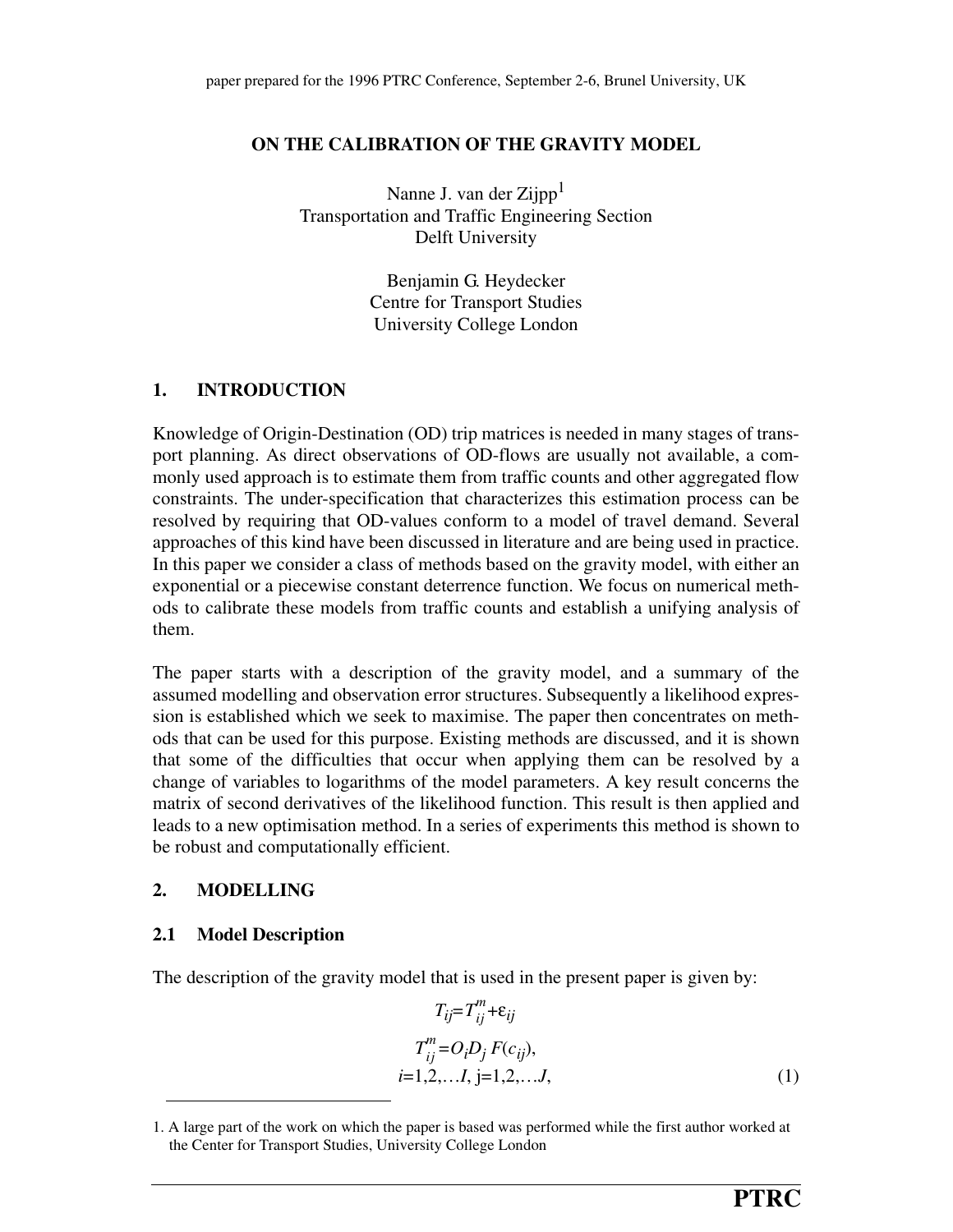## **ON THE CALIBRATION OF THE GRAVITY MODEL**

Nanne J. van der Zijpp $<sup>1</sup>$ </sup> Transportation and Traffic Engineering Section Delft University

> Benjamin G. Heydecker Centre for Transport Studies University College London

# **1. INTRODUCTION**

Knowledge of Origin-Destination (OD) trip matrices is needed in many stages of transport planning. As direct observations of OD-flows are usually not available, a commonly used approach is to estimate them from traffic counts and other aggregated flow constraints. The under-specification that characterizes this estimation process can be resolved by requiring that OD-values conform to a model of travel demand. Several approaches of this kind have been discussed in literature and are being used in practice. In this paper we consider a class of methods based on the gravity model, with either an exponential or a piecewise constant deterrence function. We focus on numerical methods to calibrate these models from traffic counts and establish a unifying analysis of them.

The paper starts with a description of the gravity model, and a summary of the assumed modelling and observation error structures. Subsequently a likelihood expression is established which we seek to maximise. The paper then concentrates on methods that can be used for this purpose. Existing methods are discussed, and it is shown that some of the difficulties that occur when applying them can be resolved by a change of variables to logarithms of the model parameters. A key result concerns the matrix of second derivatives of the likelihood function. This result is then applied and leads to a new optimisation method. In a series of experiments this method is shown to be robust and computationally efficient.

## **2. MODELLING**

## **2.1 Model Description**

The description of the gravity model that is used in the present paper is given by:

$$
T_{ij} = T_{ij}^{m} + \varepsilon_{ij}
$$
  
\n
$$
T_{ij}^{m} = O_{i}D_{j} F(c_{ij}),
$$
  
\n
$$
i = 1, 2, ..., I, j = 1, 2, ..., J,
$$
 (1)

<sup>1.</sup> A large part of the work on which the paper is based was performed while the first author worked at the Center for Transport Studies, University College London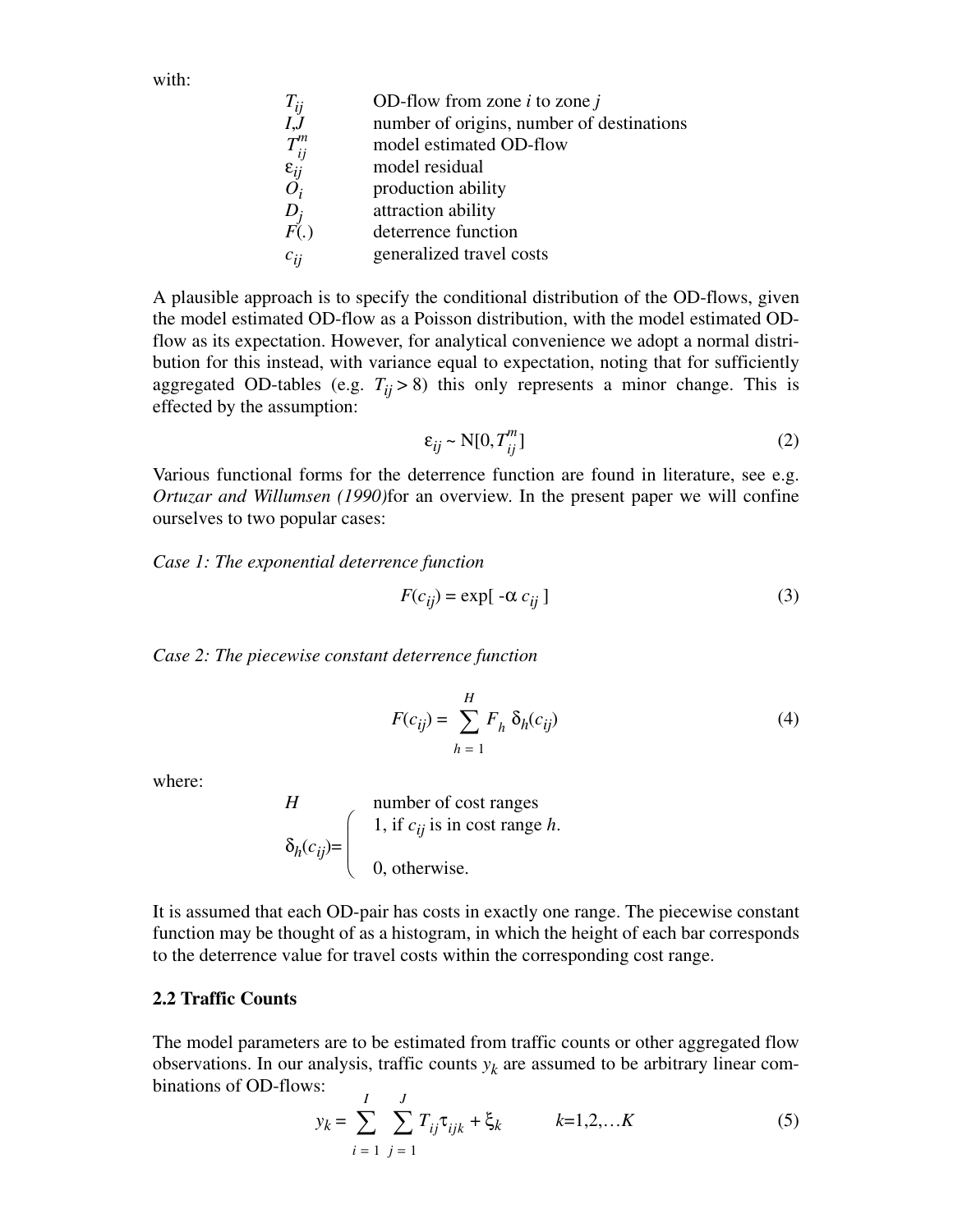with:

| $T_{ij}$                                  | OD-flow from zone $i$ to zone $j$         |
|-------------------------------------------|-------------------------------------------|
| I, J                                      | number of origins, number of destinations |
| $T_{ij}^m$<br>$\varepsilon_{ij}$<br>$O_i$ | model estimated OD-flow                   |
|                                           | model residual                            |
|                                           | production ability                        |
|                                           | attraction ability                        |
| $D_j$<br>$F(.)$                           | deterrence function                       |
| $c_{ij}$                                  | generalized travel costs                  |
|                                           |                                           |

A plausible approach is to specify the conditional distribution of the OD-flows, given the model estimated OD-flow as a Poisson distribution, with the model estimated ODflow as its expectation. However, for analytical convenience we adopt a normal distribution for this instead, with variance equal to expectation, noting that for sufficiently aggregated OD-tables (e.g.  $T_{ij} > 8$ ) this only represents a minor change. This is effected by the assumption:

$$
\varepsilon_{ij} \sim \mathcal{N}[0, T_{ij}^m] \tag{2}
$$

Various functional forms for the deterrence function are found in literature, see e.g. *Ortuzar and Willumsen (1990)*for an overview. In the present paper we will confine ourselves to two popular cases:

*Case 1: The exponential deterrence function*

$$
F(c_{ij}) = \exp[-\alpha c_{ij}]
$$
 (3)

*Case 2: The piecewise constant deterrence function*

$$
F(c_{ij}) = \sum_{h=1}^{H} F_h \, \delta_h(c_{ij}) \tag{4}
$$

where:

*H*  
\n
$$
\delta_h(c_{ij}) = \begin{cases}\n1, & \text{if } c_{ij} \text{ is in cost range } h. \\
0, & \text{otherwise.} \n\end{cases}
$$

It is assumed that each OD-pair has costs in exactly one range. The piecewise constant function may be thought of as a histogram, in which the height of each bar corresponds to the deterrence value for travel costs within the corresponding cost range.

### **2.2 Traffic Counts**

The model parameters are to be estimated from traffic counts or other aggregated flow observations. In our analysis, traffic counts  $y_k$  are assumed to be arbitrary linear combinations of OD-flows:

$$
y_k = \sum_{i=1}^{I} \sum_{j=1}^{J} T_{ij} \tau_{ijk} + \xi_k \qquad k=1,2,...K
$$
 (5)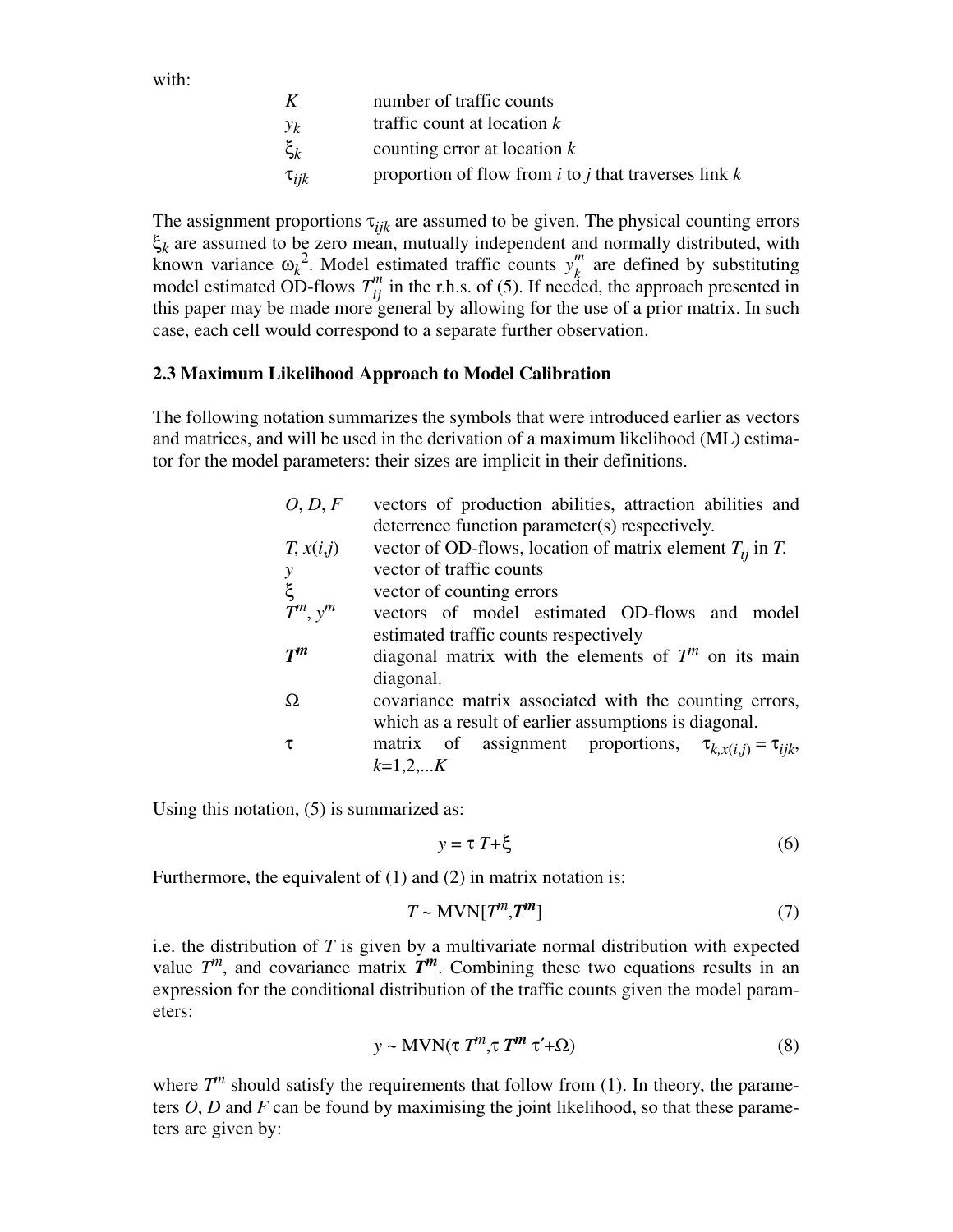with:

| K                    | number of traffic counts                                   |
|----------------------|------------------------------------------------------------|
| $y_k$                | traffic count at location $k$                              |
| $\boldsymbol{\xi}_k$ | counting error at location $k$                             |
| $\tau_{ijk}$         | proportion of flow from $i$ to $j$ that traverses link $k$ |

The assignment proportions  $\tau_{ijk}$  are assumed to be given. The physical counting errors ξ<sub>k</sub> are assumed to be zero mean, mutually independent and normally distributed, with known variance  $\omega_k^2$ . Model estimated traffic counts  $y_k^m$  are defined by substituting model estimated OD-flows  $T_{ii}^{m}$  in the r.h.s. of (5). If needed, the approach presented in this paper may be made more general by allowing for the use of a prior matrix. In such case, each cell would correspond to a separate further observation. *y k m*  $T_{ij}^m$ 

### **2.3 Maximum Likelihood Approach to Model Calibration**

The following notation summarizes the symbols that were introduced earlier as vectors and matrices, and will be used in the derivation of a maximum likelihood (ML) estimator for the model parameters: their sizes are implicit in their definitions.

| O, D, F                                 | vectors of production abilities, attraction abilities and           |  |  |  |  |  |  |  |
|-----------------------------------------|---------------------------------------------------------------------|--|--|--|--|--|--|--|
|                                         | deterrence function parameter(s) respectively.                      |  |  |  |  |  |  |  |
| T, x(i,j)                               | vector of OD-flows, location of matrix element $T_{ii}$ in T.       |  |  |  |  |  |  |  |
|                                         | vector of traffic counts                                            |  |  |  |  |  |  |  |
| $\begin{array}{c} y \\ \xi \end{array}$ | vector of counting errors                                           |  |  |  |  |  |  |  |
| $T^m$ , $y^m$                           | vectors of model estimated OD-flows and model                       |  |  |  |  |  |  |  |
|                                         | estimated traffic counts respectively                               |  |  |  |  |  |  |  |
| $T^m$                                   | diagonal matrix with the elements of $Tm$ on its main               |  |  |  |  |  |  |  |
|                                         | diagonal.                                                           |  |  |  |  |  |  |  |
| Ω                                       | covariance matrix associated with the counting errors,              |  |  |  |  |  |  |  |
|                                         | which as a result of earlier assumptions is diagonal.               |  |  |  |  |  |  |  |
| τ                                       | matrix of assignment proportions, $\tau_{k, x(i,j)} = \tau_{ijk}$ , |  |  |  |  |  |  |  |
|                                         | $k=1,2,K$                                                           |  |  |  |  |  |  |  |

Using this notation, (5) is summarized as:

$$
y = \tau T + \xi \tag{6}
$$

Furthermore, the equivalent of (1) and (2) in matrix notation is:

$$
T \sim \text{MVN}[T^m, T^m] \tag{7}
$$

i.e. the distribution of *T* is given by a multivariate normal distribution with expected value  $T^m$ , and covariance matrix  $T^m$ . Combining these two equations results in an expression for the conditional distribution of the traffic counts given the model parameters:

$$
y \sim \text{MVN}(\tau \, T^m, \tau \, T^m \, \tau' + \Omega) \tag{8}
$$

where  $T^m$  should satisfy the requirements that follow from (1). In theory, the parameters *O*, *D* and *F* can be found by maximising the joint likelihood, so that these parameters are given by: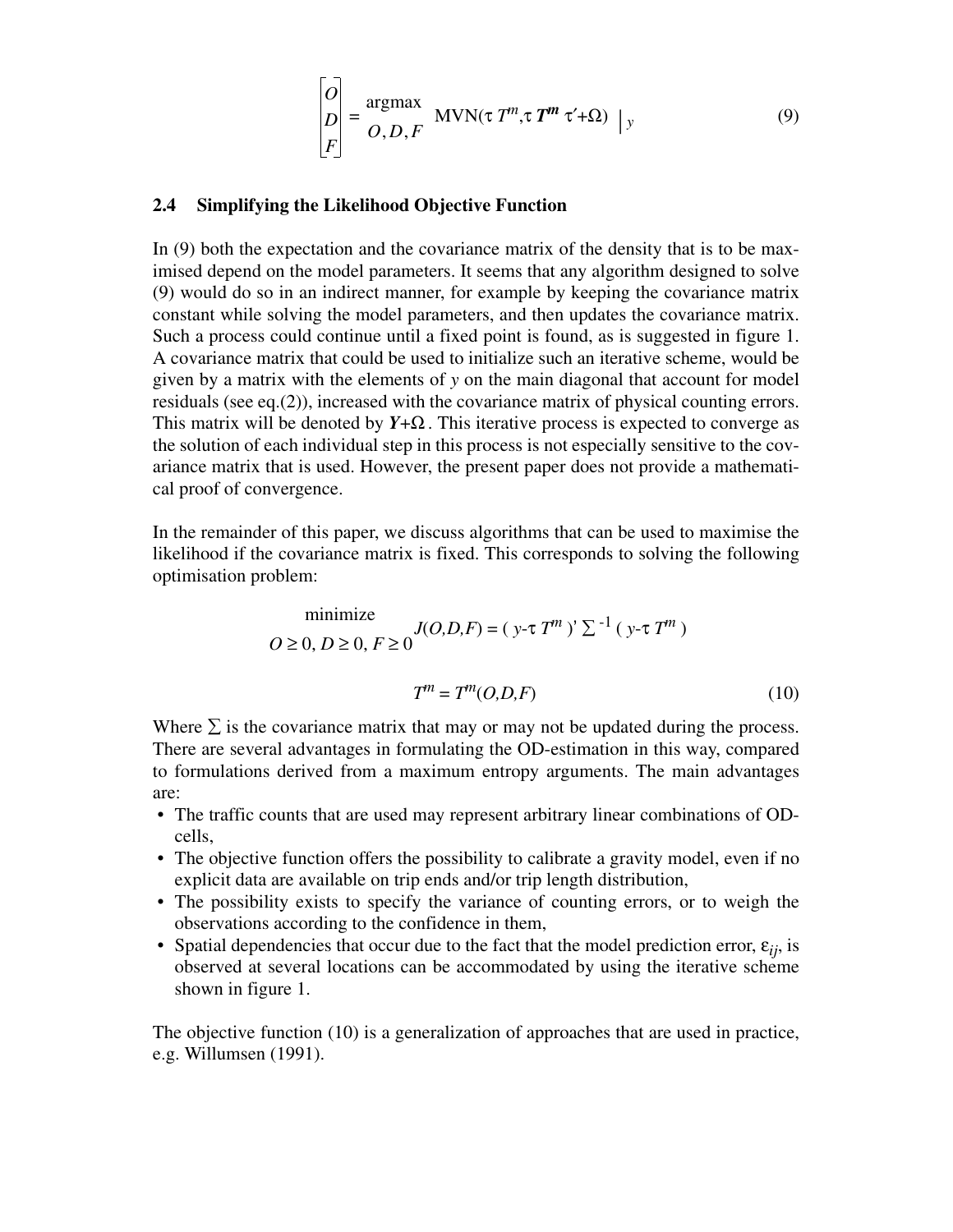$$
\begin{bmatrix} O \\ D \\ F \end{bmatrix} = \frac{\text{argmax}}{O, D, F} \quad \text{MVN}(\tau \, T^m, \tau \, T^m \, \tau' + \Omega) \mid y \tag{9}
$$

## **2.4 Simplifying the Likelihood Objective Function**

In (9) both the expectation and the covariance matrix of the density that is to be maximised depend on the model parameters. It seems that any algorithm designed to solve (9) would do so in an indirect manner, for example by keeping the covariance matrix constant while solving the model parameters, and then updates the covariance matrix. Such a process could continue until a fixed point is found, as is suggested in figure 1. A covariance matrix that could be used to initialize such an iterative scheme, would be given by a matrix with the elements of *y* on the main diagonal that account for model residuals (see eq.(2)), increased with the covariance matrix of physical counting errors. This matrix will be denoted by  $Y + \Omega$ . This iterative process is expected to converge as the solution of each individual step in this process is not especially sensitive to the covariance matrix that is used. However, the present paper does not provide a mathematical proof of convergence.

In the remainder of this paper, we discuss algorithms that can be used to maximise the likelihood if the covariance matrix is fixed. This corresponds to solving the following optimisation problem:

minimize  

$$
O \ge 0, D \ge 0, F \ge 0
$$
  
 $J(O, D, F) = (y - \tau T^m)^{\gamma} \sum_{i=1}^{r} (y - \tau T^m)$ 

$$
T^m = T^m(O, D, F) \tag{10}
$$

Where  $\Sigma$  is the covariance matrix that may or may not be updated during the process. There are several advantages in formulating the OD-estimation in this way, compared to formulations derived from a maximum entropy arguments. The main advantages are:

- The traffic counts that are used may represent arbitrary linear combinations of ODcells,
- The objective function offers the possibility to calibrate a gravity model, even if no explicit data are available on trip ends and/or trip length distribution,
- The possibility exists to specify the variance of counting errors, or to weigh the observations according to the confidence in them,
- Spatial dependencies that occur due to the fact that the model prediction error,  $\varepsilon_{ii}$ , is observed at several locations can be accommodated by using the iterative scheme shown in figure 1.

The objective function (10) is a generalization of approaches that are used in practice, e.g. Willumsen (1991).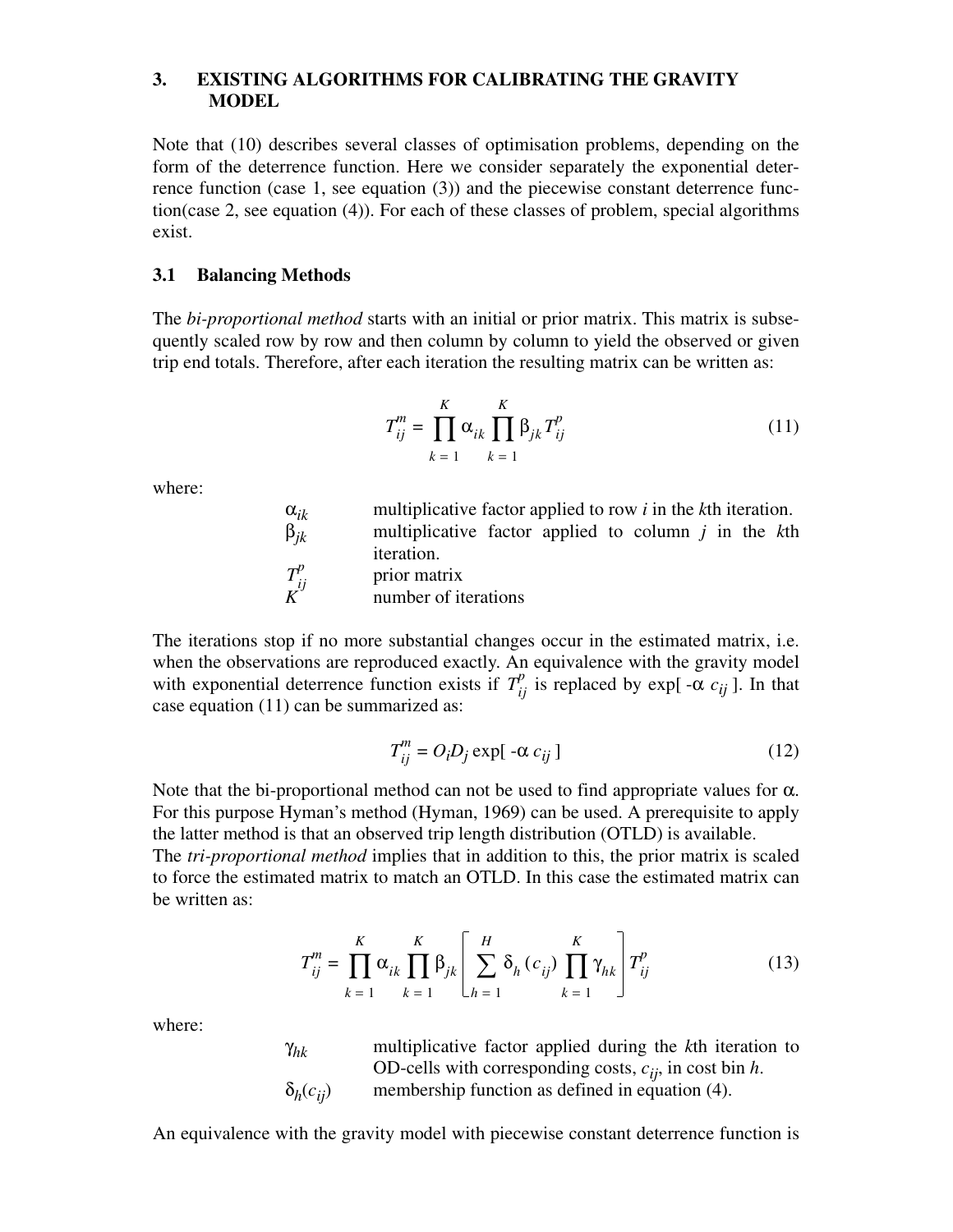## **3. EXISTING ALGORITHMS FOR CALIBRATING THE GRAVITY MODEL**

Note that (10) describes several classes of optimisation problems, depending on the form of the deterrence function. Here we consider separately the exponential deterrence function (case 1, see equation (3)) and the piecewise constant deterrence function(case 2, see equation (4)). For each of these classes of problem, special algorithms exist.

#### **3.1 Balancing Methods**

The *bi-proportional method* starts with an initial or prior matrix. This matrix is subsequently scaled row by row and then column by column to yield the observed or given trip end totals. Therefore, after each iteration the resulting matrix can be written as:

$$
T_{ij}^{m} = \prod_{k=1}^{K} \alpha_{ik} \prod_{k=1}^{K} \beta_{jk} T_{ij}^{p}
$$
 (11)

where:

| $\alpha_{ik}$               | multiplicative factor applied to row $i$ in the $k$ th iteration. |
|-----------------------------|-------------------------------------------------------------------|
| $\beta_{ik}$                | multiplicative factor applied to column $\dot{j}$ in the $k$ th   |
| $T^p_{ij}$ $\boldsymbol{K}$ | iteration.<br>prior matrix<br>number of iterations                |

The iterations stop if no more substantial changes occur in the estimated matrix, i.e. when the observations are reproduced exactly. An equivalence with the gravity model with exponential deterrence function exists if  $T_{ij}^p$  is replaced by exp[ - $\alpha c_{ij}$ ]. In that case equation (11) can be summarized as:

$$
T_{ij}^{m} = O_i D_j \exp[-\alpha c_{ij}]
$$
 (12)

Note that the bi-proportional method can not be used to find appropriate values for  $\alpha$ . For this purpose Hyman's method (Hyman, 1969) can be used. A prerequisite to apply the latter method is that an observed trip length distribution (OTLD) is available.

The *tri-proportional method* implies that in addition to this, the prior matrix is scaled to force the estimated matrix to match an OTLD. In this case the estimated matrix can be written as:

$$
T_{ij}^{m} = \prod_{k=1}^{K} \alpha_{ik} \prod_{k=1}^{K} \beta_{jk} \left[ \sum_{h=1}^{H} \delta_h (c_{ij}) \prod_{k=1}^{K} \gamma_{hk} \right] T_{ij}^{p}
$$
(13)

where:

| $\gamma_{hk}$      | multiplicative factor applied during the kth iteration to    |
|--------------------|--------------------------------------------------------------|
|                    | OD-cells with corresponding costs, $c_{ii}$ , in cost bin h. |
| $\delta_h(c_{ij})$ | membership function as defined in equation (4).              |

An equivalence with the gravity model with piecewise constant deterrence function is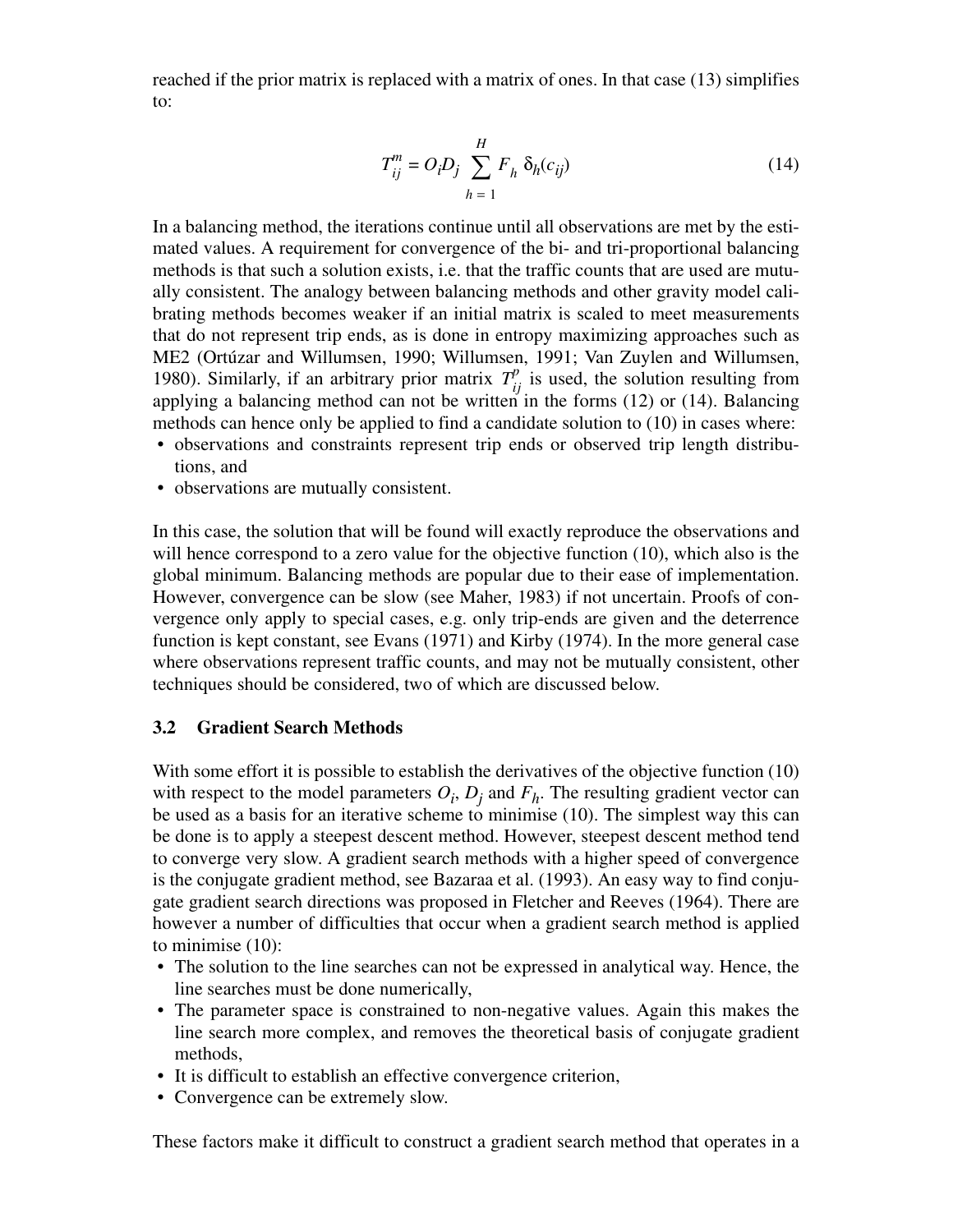reached if the prior matrix is replaced with a matrix of ones. In that case (13) simplifies to:

$$
T_{ij}^{m} = O_i D_j \sum_{h=1}^{H} F_h \, \delta_h(c_{ij})
$$
 (14)

In a balancing method, the iterations continue until all observations are met by the estimated values. A requirement for convergence of the bi- and tri-proportional balancing methods is that such a solution exists, i.e. that the traffic counts that are used are mutually consistent. The analogy between balancing methods and other gravity model calibrating methods becomes weaker if an initial matrix is scaled to meet measurements that do not represent trip ends, as is done in entropy maximizing approaches such as ME2 (Ortúzar and Willumsen, 1990; Willumsen, 1991; Van Zuylen and Willumsen, 1980). Similarly, if an arbitrary prior matrix  $T_{ij}^p$  is used, the solution resulting from applying a balancing method can not be written in the forms  $(12)$  or  $(14)$ . Balancing methods can hence only be applied to find a candidate solution to (10) in cases where:

- observations and constraints represent trip ends or observed trip length distributions, and
- observations are mutually consistent.

In this case, the solution that will be found will exactly reproduce the observations and will hence correspond to a zero value for the objective function (10), which also is the global minimum. Balancing methods are popular due to their ease of implementation. However, convergence can be slow (see Maher, 1983) if not uncertain. Proofs of convergence only apply to special cases, e.g. only trip-ends are given and the deterrence function is kept constant, see Evans (1971) and Kirby (1974). In the more general case where observations represent traffic counts, and may not be mutually consistent, other techniques should be considered, two of which are discussed below.

## **3.2 Gradient Search Methods**

With some effort it is possible to establish the derivatives of the objective function (10) with respect to the model parameters  $O_i$ ,  $D_j$  and  $F_h$ . The resulting gradient vector can be used as a basis for an iterative scheme to minimise (10). The simplest way this can be done is to apply a steepest descent method. However, steepest descent method tend to converge very slow. A gradient search methods with a higher speed of convergence is the conjugate gradient method, see Bazaraa et al. (1993). An easy way to find conjugate gradient search directions was proposed in Fletcher and Reeves (1964). There are however a number of difficulties that occur when a gradient search method is applied to minimise (10):

- The solution to the line searches can not be expressed in analytical way. Hence, the line searches must be done numerically,
- The parameter space is constrained to non-negative values. Again this makes the line search more complex, and removes the theoretical basis of conjugate gradient methods,
- It is difficult to establish an effective convergence criterion,
- Convergence can be extremely slow.

These factors make it difficult to construct a gradient search method that operates in a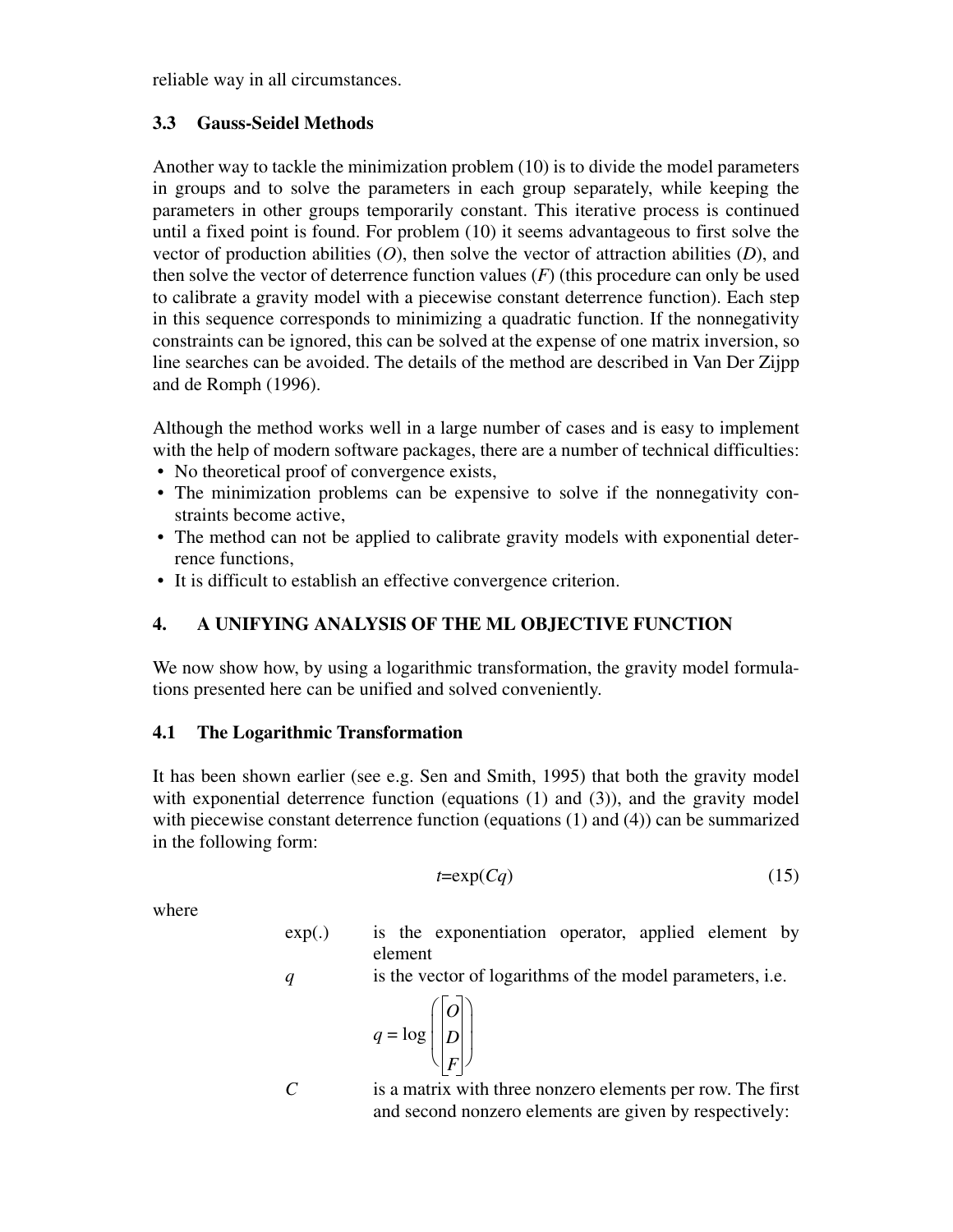reliable way in all circumstances.

# **3.3 Gauss-Seidel Methods**

Another way to tackle the minimization problem (10) is to divide the model parameters in groups and to solve the parameters in each group separately, while keeping the parameters in other groups temporarily constant. This iterative process is continued until a fixed point is found. For problem (10) it seems advantageous to first solve the vector of production abilities (*O*), then solve the vector of attraction abilities (*D*), and then solve the vector of deterrence function values (*F*) (this procedure can only be used to calibrate a gravity model with a piecewise constant deterrence function). Each step in this sequence corresponds to minimizing a quadratic function. If the nonnegativity constraints can be ignored, this can be solved at the expense of one matrix inversion, so line searches can be avoided. The details of the method are described in Van Der Zijpp and de Romph (1996).

Although the method works well in a large number of cases and is easy to implement with the help of modern software packages, there are a number of technical difficulties:

- No theoretical proof of convergence exists,
- The minimization problems can be expensive to solve if the nonnegativity constraints become active,
- The method can not be applied to calibrate gravity models with exponential deterrence functions,
- It is difficult to establish an effective convergence criterion.

# **4. A UNIFYING ANALYSIS OF THE ML OBJECTIVE FUNCTION**

We now show how, by using a logarithmic transformation, the gravity model formulations presented here can be unified and solved conveniently.

# **4.1 The Logarithmic Transformation**

It has been shown earlier (see e.g. Sen and Smith, 1995) that both the gravity model with exponential deterrence function (equations (1) and (3)), and the gravity model with piecewise constant deterrence function (equations (1) and (4)) can be summarized in the following form:

$$
t = \exp(Cq) \tag{15}
$$

where

exp(.) is the exponentiation operator, applied element by element

*q* is the vector of logarithms of the model parameters, i.e.

$$
q = \log \left( \begin{bmatrix} 0 \\ D \\ F \end{bmatrix} \right)
$$

*C* is a matrix with three nonzero elements per row. The first and second nonzero elements are given by respectively: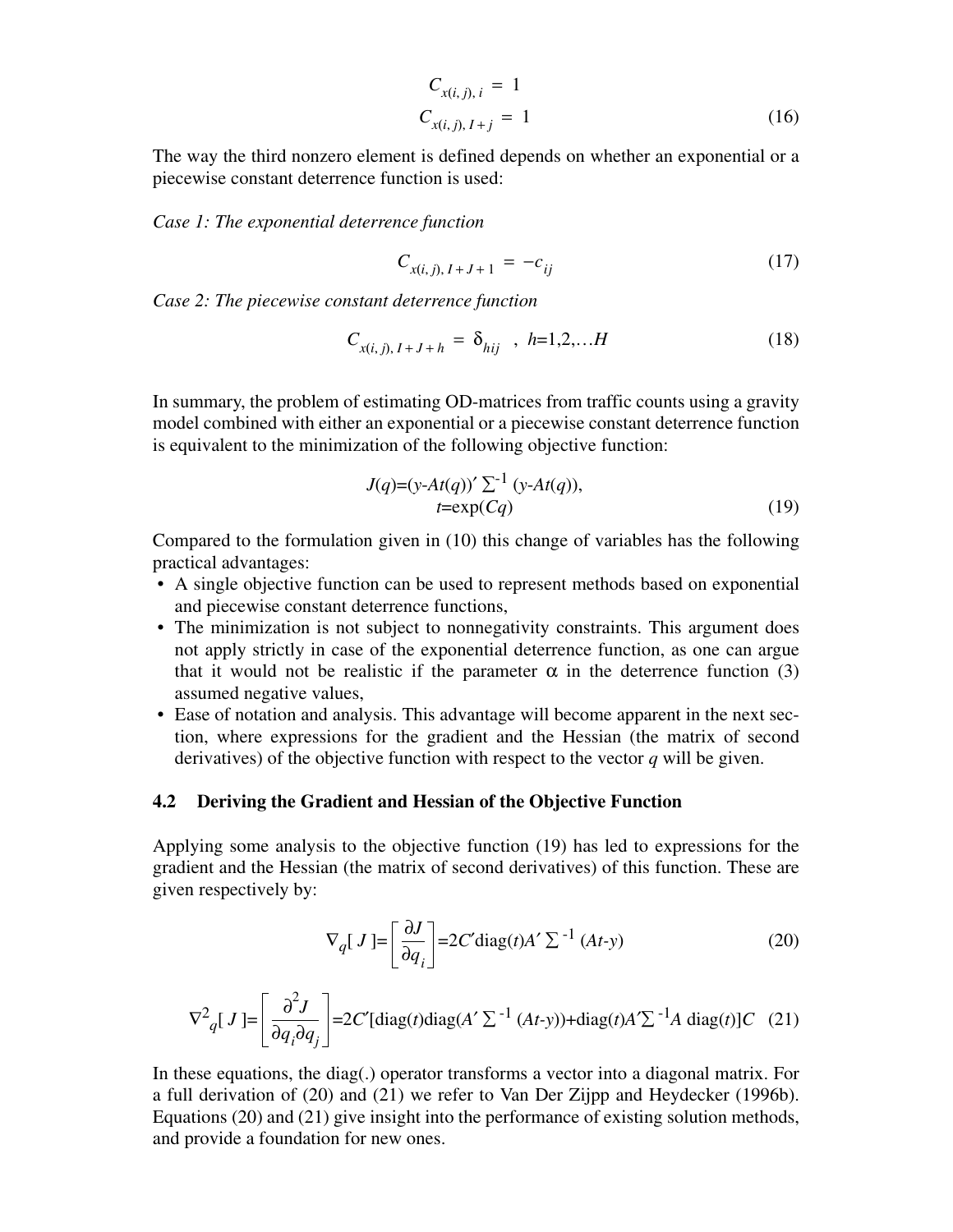$$
C_{x(i,j), i} = 1
$$
  
\n
$$
C_{x(i,j), I+j} = 1
$$
\n(16)

The way the third nonzero element is defined depends on whether an exponential or a piecewise constant deterrence function is used:

*Case 1: The exponential deterrence function*

$$
C_{x(i,j), I+J+1} = -c_{ij} \tag{17}
$$

*Case 2: The piecewise constant deterrence function*

$$
C_{x(i,j), I+J+h} = \delta_{hij} \quad , \ h=1,2,...H \tag{18}
$$

In summary, the problem of estimating OD-matrices from traffic counts using a gravity model combined with either an exponential or a piecewise constant deterrence function is equivalent to the minimization of the following objective function:

$$
J(q)=(y-At(q))'\sum^{-1}(y-At(q)),
$$
  

$$
t=exp(Cq)
$$
 (19)

Compared to the formulation given in (10) this change of variables has the following practical advantages:

- A single objective function can be used to represent methods based on exponential and piecewise constant deterrence functions,
- The minimization is not subject to nonnegativity constraints. This argument does not apply strictly in case of the exponential deterrence function, as one can argue that it would not be realistic if the parameter  $\alpha$  in the deterrence function (3) assumed negative values,
- Ease of notation and analysis. This advantage will become apparent in the next section, where expressions for the gradient and the Hessian (the matrix of second derivatives) of the objective function with respect to the vector *q* will be given.

#### **4.2 Deriving the Gradient and Hessian of the Objective Function**

Applying some analysis to the objective function (19) has led to expressions for the gradient and the Hessian (the matrix of second derivatives) of this function. These are given respectively by:

$$
\nabla_q [J] = \left[ \frac{\partial J}{\partial q_i} \right] = 2C' \text{diag}(t) A' \sum^{-1} (At-y) \tag{20}
$$

$$
\nabla^2 q[J] = \left[\frac{\partial^2 J}{\partial q_i \partial q_j}\right] = 2C'[\text{diag}(t)\text{diag}(A' \Sigma^{-1} (At-y)) + \text{diag}(t)A' \Sigma^{-1} A \text{ diag}(t)]C \quad (21)
$$

In these equations, the diag(.) operator transforms a vector into a diagonal matrix. For a full derivation of (20) and (21) we refer to Van Der Zijpp and Heydecker (1996b). Equations (20) and (21) give insight into the performance of existing solution methods, and provide a foundation for new ones.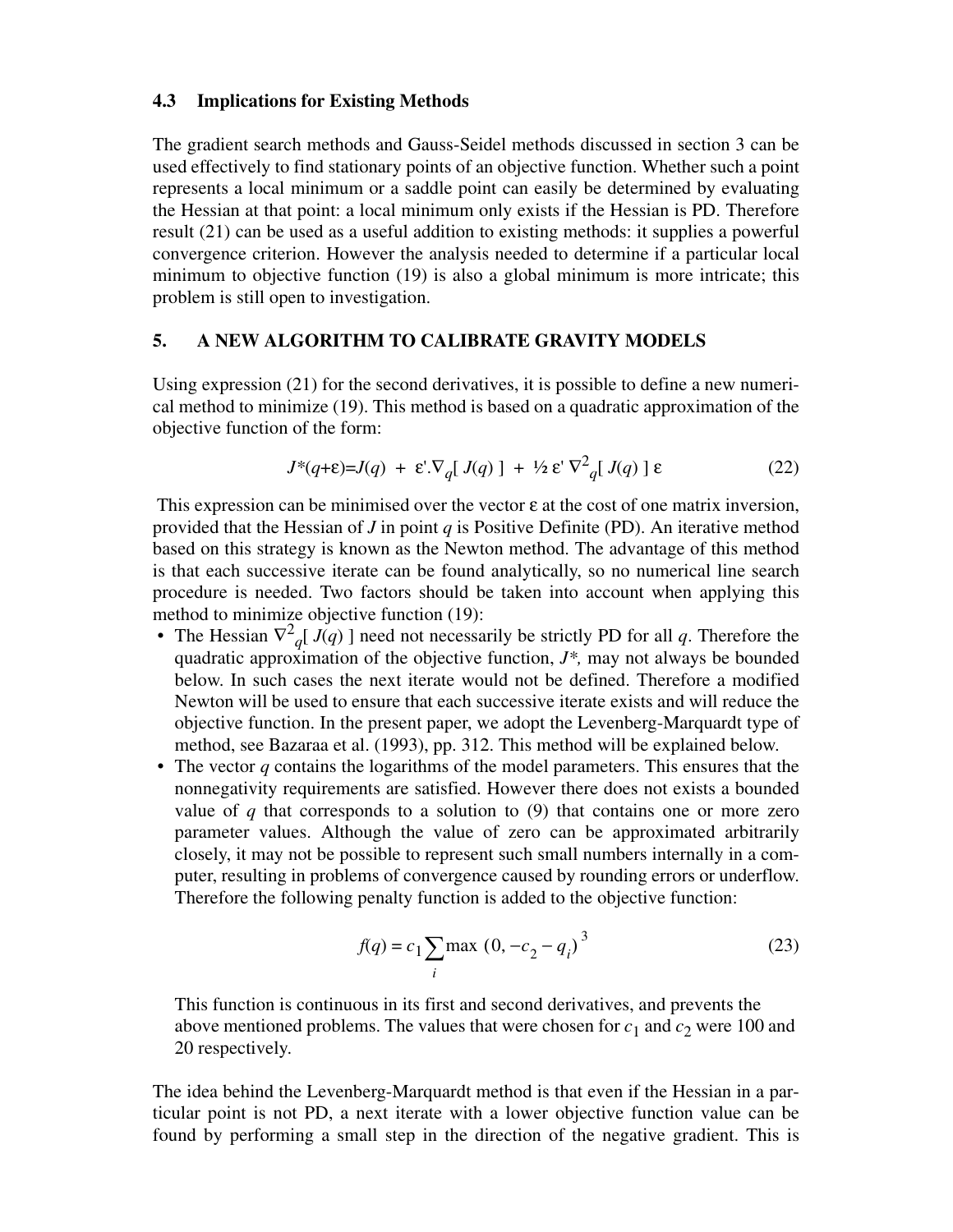### **4.3 Implications for Existing Methods**

The gradient search methods and Gauss-Seidel methods discussed in section 3 can be used effectively to find stationary points of an objective function. Whether such a point represents a local minimum or a saddle point can easily be determined by evaluating the Hessian at that point: a local minimum only exists if the Hessian is PD. Therefore result (21) can be used as a useful addition to existing methods: it supplies a powerful convergence criterion. However the analysis needed to determine if a particular local minimum to objective function (19) is also a global minimum is more intricate; this problem is still open to investigation.

### **5. A NEW ALGORITHM TO CALIBRATE GRAVITY MODELS**

Using expression (21) for the second derivatives, it is possible to define a new numerical method to minimize (19). This method is based on a quadratic approximation of the objective function of the form:

$$
J^*(q+\varepsilon)=J(q) + \varepsilon \cdot \nabla_q [J(q)] + \frac{1}{2} \varepsilon \nabla_q^2 [J(q)] \varepsilon \tag{22}
$$

This expression can be minimised over the vector  $\varepsilon$  at the cost of one matrix inversion, provided that the Hessian of *J* in point *q* is Positive Definite (PD). An iterative method based on this strategy is known as the Newton method. The advantage of this method is that each successive iterate can be found analytically, so no numerical line search procedure is needed. Two factors should be taken into account when applying this method to minimize objective function (19):

- The Hessian  $\nabla^2 q [ J(q) ]$  need not necessarily be strictly PD for all q. Therefore the quadratic approximation of the objective function, *J\*,* may not always be bounded below. In such cases the next iterate would not be defined. Therefore a modified Newton will be used to ensure that each successive iterate exists and will reduce the objective function. In the present paper, we adopt the Levenberg-Marquardt type of method, see Bazaraa et al. (1993), pp. 312. This method will be explained below.
- The vector *q* contains the logarithms of the model parameters. This ensures that the nonnegativity requirements are satisfied. However there does not exists a bounded value of *q* that corresponds to a solution to (9) that contains one or more zero parameter values. Although the value of zero can be approximated arbitrarily closely, it may not be possible to represent such small numbers internally in a computer, resulting in problems of convergence caused by rounding errors or underflow. Therefore the following penalty function is added to the objective function:

$$
f(q) = c_1 \sum_{i} \max (0, -c_2 - q_i)^3
$$
 (23)

This function is continuous in its first and second derivatives, and prevents the above mentioned problems. The values that were chosen for  $c_1$  and  $c_2$  were 100 and 20 respectively.

The idea behind the Levenberg-Marquardt method is that even if the Hessian in a particular point is not PD, a next iterate with a lower objective function value can be found by performing a small step in the direction of the negative gradient. This is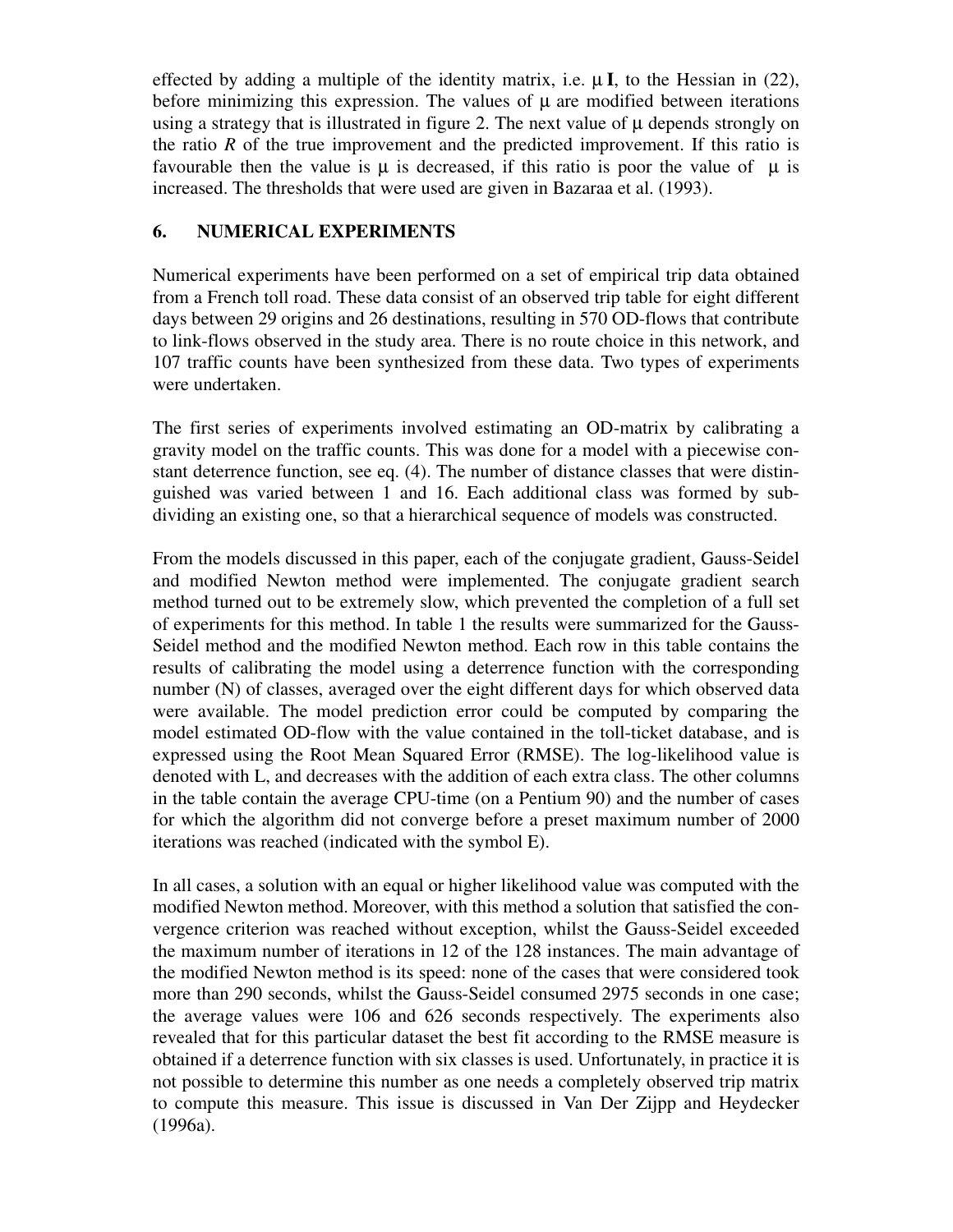effected by adding a multiple of the identity matrix, i.e.  $\mu$ **I**, to the Hessian in (22), before minimizing this expression. The values of  $\mu$  are modified between iterations using a strategy that is illustrated in figure 2. The next value of  $\mu$  depends strongly on the ratio *R* of the true improvement and the predicted improvement. If this ratio is favourable then the value is  $\mu$  is decreased, if this ratio is poor the value of  $\mu$  is increased. The thresholds that were used are given in Bazaraa et al. (1993).

# **6. NUMERICAL EXPERIMENTS**

Numerical experiments have been performed on a set of empirical trip data obtained from a French toll road. These data consist of an observed trip table for eight different days between 29 origins and 26 destinations, resulting in 570 OD-flows that contribute to link-flows observed in the study area. There is no route choice in this network, and 107 traffic counts have been synthesized from these data. Two types of experiments were undertaken.

The first series of experiments involved estimating an OD-matrix by calibrating a gravity model on the traffic counts. This was done for a model with a piecewise constant deterrence function, see eq. (4). The number of distance classes that were distinguished was varied between 1 and 16. Each additional class was formed by subdividing an existing one, so that a hierarchical sequence of models was constructed.

From the models discussed in this paper, each of the conjugate gradient, Gauss-Seidel and modified Newton method were implemented. The conjugate gradient search method turned out to be extremely slow, which prevented the completion of a full set of experiments for this method. In table 1 the results were summarized for the Gauss-Seidel method and the modified Newton method. Each row in this table contains the results of calibrating the model using a deterrence function with the corresponding number (N) of classes, averaged over the eight different days for which observed data were available. The model prediction error could be computed by comparing the model estimated OD-flow with the value contained in the toll-ticket database, and is expressed using the Root Mean Squared Error (RMSE). The log-likelihood value is denoted with L, and decreases with the addition of each extra class. The other columns in the table contain the average CPU-time (on a Pentium 90) and the number of cases for which the algorithm did not converge before a preset maximum number of 2000 iterations was reached (indicated with the symbol E).

In all cases, a solution with an equal or higher likelihood value was computed with the modified Newton method. Moreover, with this method a solution that satisfied the convergence criterion was reached without exception, whilst the Gauss-Seidel exceeded the maximum number of iterations in 12 of the 128 instances. The main advantage of the modified Newton method is its speed: none of the cases that were considered took more than 290 seconds, whilst the Gauss-Seidel consumed 2975 seconds in one case; the average values were 106 and 626 seconds respectively. The experiments also revealed that for this particular dataset the best fit according to the RMSE measure is obtained if a deterrence function with six classes is used. Unfortunately, in practice it is not possible to determine this number as one needs a completely observed trip matrix to compute this measure. This issue is discussed in Van Der Zijpp and Heydecker (1996a).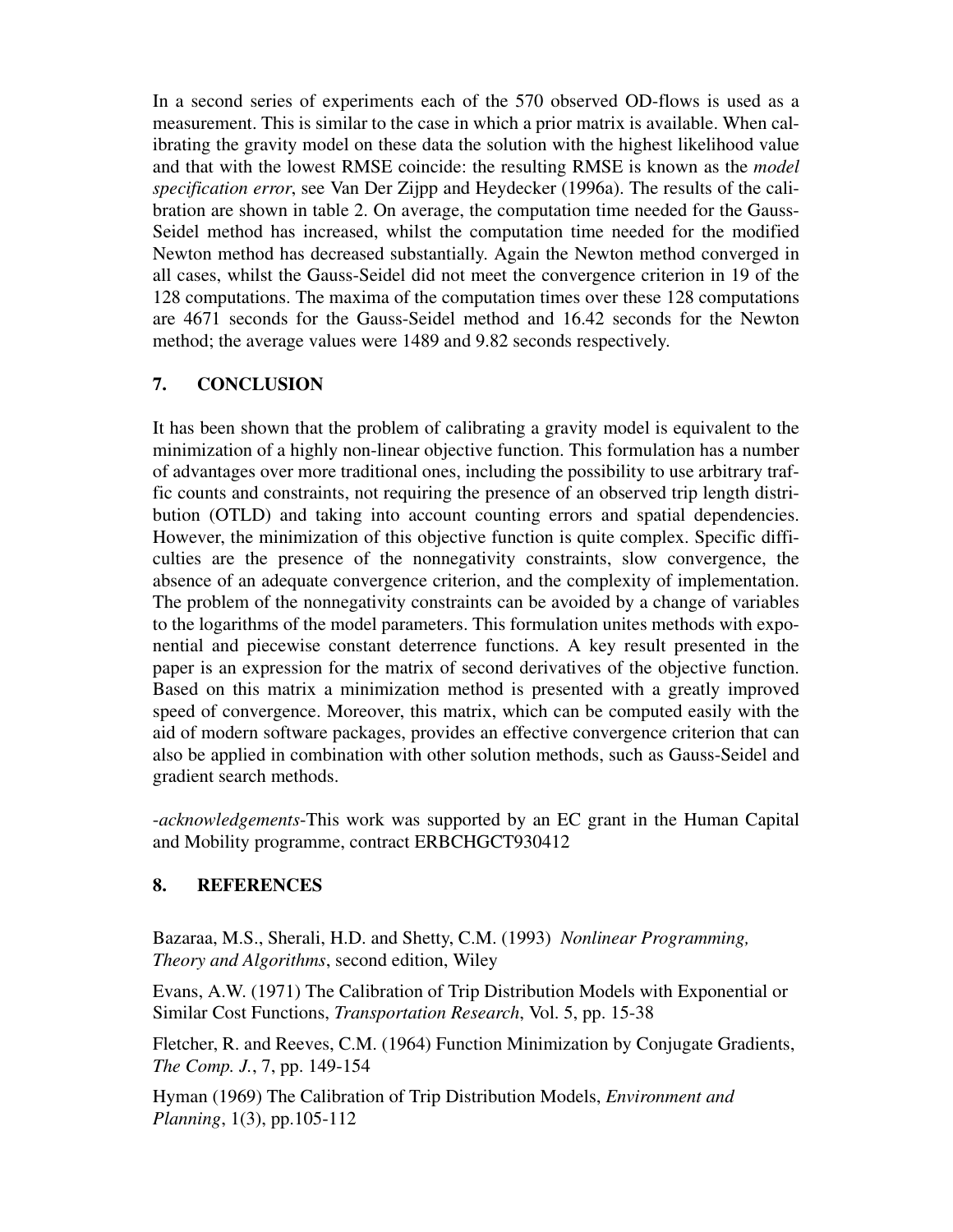In a second series of experiments each of the 570 observed OD-flows is used as a measurement. This is similar to the case in which a prior matrix is available. When calibrating the gravity model on these data the solution with the highest likelihood value and that with the lowest RMSE coincide: the resulting RMSE is known as the *model specification error*, see Van Der Zijpp and Heydecker (1996a). The results of the calibration are shown in table 2. On average, the computation time needed for the Gauss-Seidel method has increased, whilst the computation time needed for the modified Newton method has decreased substantially. Again the Newton method converged in all cases, whilst the Gauss-Seidel did not meet the convergence criterion in 19 of the 128 computations. The maxima of the computation times over these 128 computations are 4671 seconds for the Gauss-Seidel method and 16.42 seconds for the Newton method; the average values were 1489 and 9.82 seconds respectively.

## **7. CONCLUSION**

It has been shown that the problem of calibrating a gravity model is equivalent to the minimization of a highly non-linear objective function. This formulation has a number of advantages over more traditional ones, including the possibility to use arbitrary traffic counts and constraints, not requiring the presence of an observed trip length distribution (OTLD) and taking into account counting errors and spatial dependencies. However, the minimization of this objective function is quite complex. Specific difficulties are the presence of the nonnegativity constraints, slow convergence, the absence of an adequate convergence criterion, and the complexity of implementation. The problem of the nonnegativity constraints can be avoided by a change of variables to the logarithms of the model parameters. This formulation unites methods with exponential and piecewise constant deterrence functions. A key result presented in the paper is an expression for the matrix of second derivatives of the objective function. Based on this matrix a minimization method is presented with a greatly improved speed of convergence. Moreover, this matrix, which can be computed easily with the aid of modern software packages, provides an effective convergence criterion that can also be applied in combination with other solution methods, such as Gauss-Seidel and gradient search methods.

-*acknowledgements*-This work was supported by an EC grant in the Human Capital and Mobility programme, contract ERBCHGCT930412

## **8. REFERENCES**

Bazaraa, M.S., Sherali, H.D. and Shetty, C.M. (1993) *Nonlinear Programming, Theory and Algorithms*, second edition, Wiley

Evans, A.W. (1971) The Calibration of Trip Distribution Models with Exponential or Similar Cost Functions, *Transportation Research*, Vol. 5, pp. 15-38

Fletcher, R. and Reeves, C.M. (1964) Function Minimization by Conjugate Gradients, *The Comp. J.*, 7, pp. 149-154

Hyman (1969) The Calibration of Trip Distribution Models, *Environment and Planning*, 1(3), pp.105-112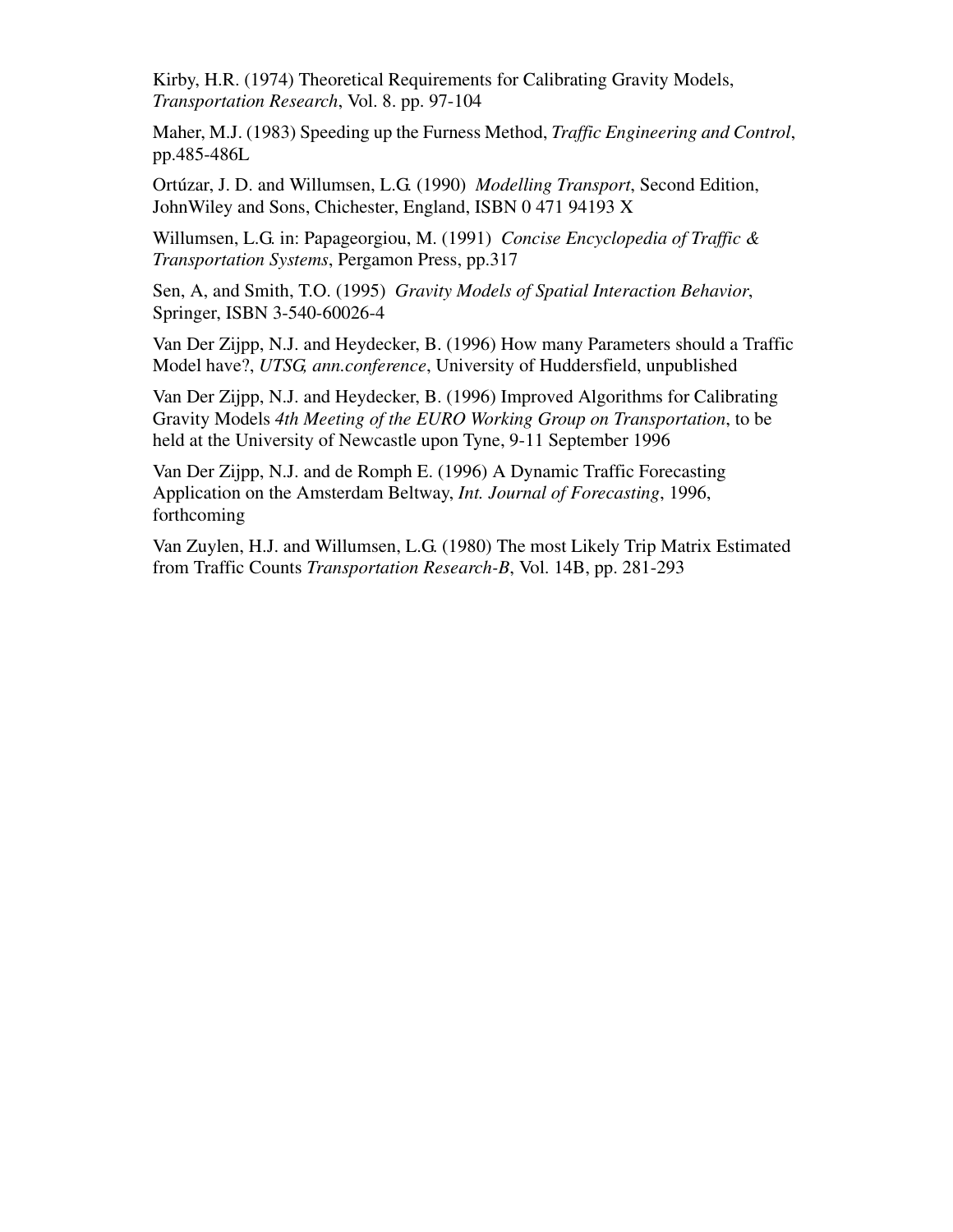Kirby, H.R. (1974) Theoretical Requirements for Calibrating Gravity Models, *Transportation Research*, Vol. 8. pp. 97-104

Maher, M.J. (1983) Speeding up the Furness Method, *Traffic Engineering and Control*, pp.485-486L

Ortúzar, J. D. and Willumsen, L.G. (1990) *Modelling Transport*, Second Edition, JohnWiley and Sons, Chichester, England, ISBN 0 471 94193 X

Willumsen, L.G. in: Papageorgiou, M. (1991) *Concise Encyclopedia of Traffic & Transportation Systems*, Pergamon Press, pp.317

Sen, A, and Smith, T.O. (1995) *Gravity Models of Spatial Interaction Behavior*, Springer, ISBN 3-540-60026-4

Van Der Zijpp, N.J. and Heydecker, B. (1996) How many Parameters should a Traffic Model have?, *UTSG, ann.conference*, University of Huddersfield, unpublished

Van Der Zijpp, N.J. and Heydecker, B. (1996) Improved Algorithms for Calibrating Gravity Models *4th Meeting of the EURO Working Group on Transportation*, to be held at the University of Newcastle upon Tyne, 9-11 September 1996

Van Der Zijpp, N.J. and de Romph E. (1996) A Dynamic Traffic Forecasting Application on the Amsterdam Beltway, *Int. Journal of Forecasting*, 1996, forthcoming

Van Zuylen, H.J. and Willumsen, L.G. (1980) The most Likely Trip Matrix Estimated from Traffic Counts *Transportation Research-B*, Vol. 14B, pp. 281-293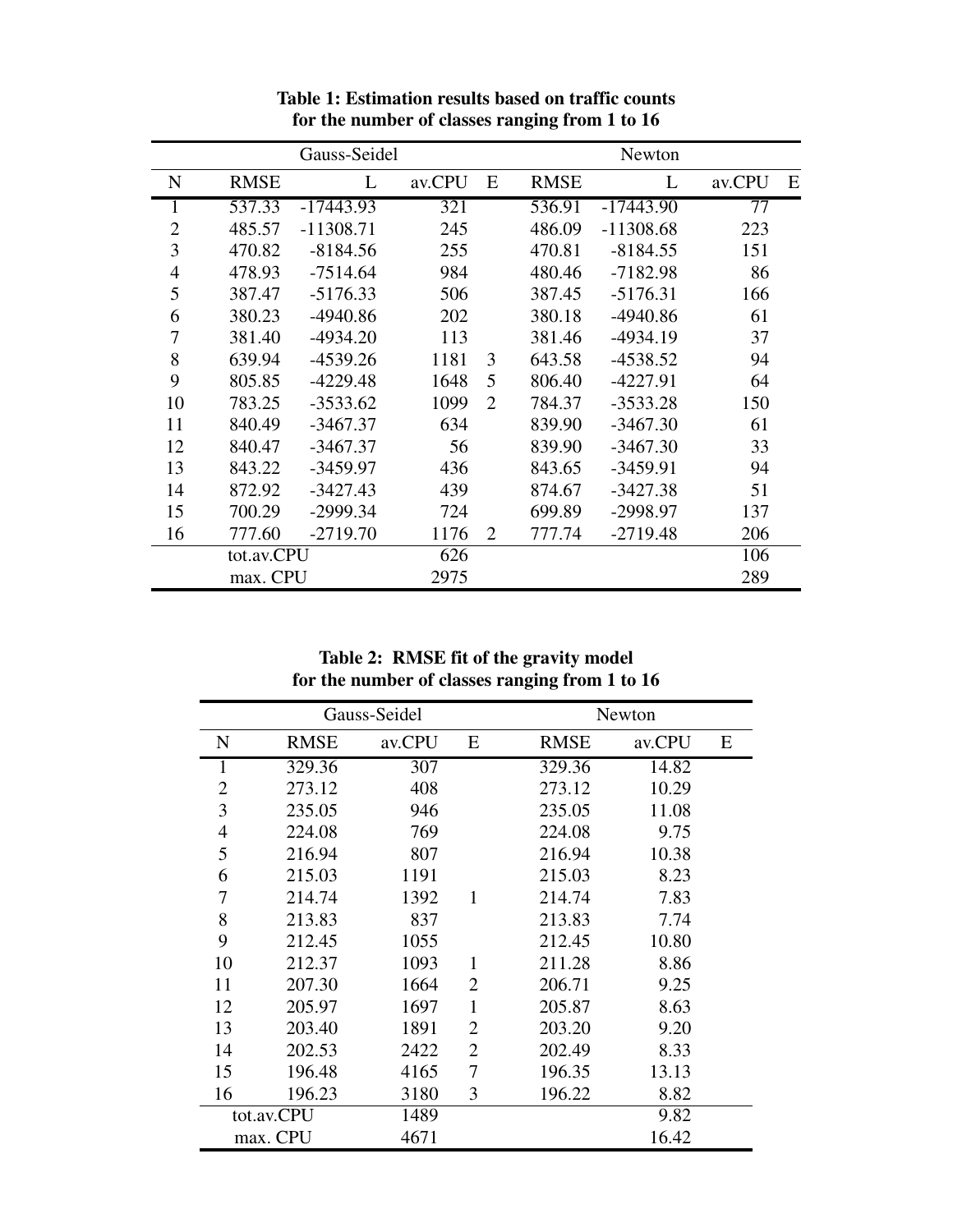|                |             | Gauss-Seidel |        |                |             | Newton      |        |   |
|----------------|-------------|--------------|--------|----------------|-------------|-------------|--------|---|
| N              | <b>RMSE</b> | L            | av.CPU | E              | <b>RMSE</b> | L           | av.CPU | E |
|                | 537.33      | $-17443.93$  | 321    |                | 536.91      | $-17443.90$ | 77     |   |
| $\overline{2}$ | 485.57      | $-11308.71$  | 245    |                | 486.09      | $-11308.68$ | 223    |   |
| 3              | 470.82      | $-8184.56$   | 255    |                | 470.81      | $-8184.55$  | 151    |   |
| $\overline{4}$ | 478.93      | $-7514.64$   | 984    |                | 480.46      | $-7182.98$  | 86     |   |
| 5              | 387.47      | $-5176.33$   | 506    |                | 387.45      | $-5176.31$  | 166    |   |
| 6              | 380.23      | $-4940.86$   | 202    |                | 380.18      | -4940.86    | 61     |   |
| 7              | 381.40      | $-4934.20$   | 113    |                | 381.46      | $-4934.19$  | 37     |   |
| 8              | 639.94      | $-4539.26$   | 1181   | 3              | 643.58      | $-4538.52$  | 94     |   |
| 9              | 805.85      | $-4229.48$   | 1648   | 5              | 806.40      | $-4227.91$  | 64     |   |
| 10             | 783.25      | $-3533.62$   | 1099   | $\overline{2}$ | 784.37      | $-3533.28$  | 150    |   |
| 11             | 840.49      | $-3467.37$   | 634    |                | 839.90      | $-3467.30$  | 61     |   |
| 12             | 840.47      | $-3467.37$   | 56     |                | 839.90      | $-3467.30$  | 33     |   |
| 13             | 843.22      | $-3459.97$   | 436    |                | 843.65      | $-3459.91$  | 94     |   |
| 14             | 872.92      | $-3427.43$   | 439    |                | 874.67      | $-3427.38$  | 51     |   |
| 15             | 700.29      | $-2999.34$   | 724    |                | 699.89      | -2998.97    | 137    |   |
| 16             | 777.60      | $-2719.70$   | 1176   | 2              | 777.74      | $-2719.48$  | 206    |   |
| tot.av.CPU     |             | 626          |        |                |             | 106         |        |   |
|                | max. CPU    |              | 2975   |                |             |             | 289    |   |

**Table 1: Estimation results based on traffic counts for the number of classes ranging from 1 to 16**

**Table 2: RMSE fit of the gravity model for the number of classes ranging from 1 to 16**

| Gauss-Seidel   |             |        |                | Newton      |        |   |  |
|----------------|-------------|--------|----------------|-------------|--------|---|--|
| N              | <b>RMSE</b> | av.CPU | E              | <b>RMSE</b> | av.CPU | E |  |
| 1              | 329.36      | 307    |                | 329.36      | 14.82  |   |  |
| $\overline{2}$ | 273.12      | 408    |                | 273.12      | 10.29  |   |  |
| 3              | 235.05      | 946    |                | 235.05      | 11.08  |   |  |
| 4              | 224.08      | 769    |                | 224.08      | 9.75   |   |  |
| 5              | 216.94      | 807    |                | 216.94      | 10.38  |   |  |
| 6              | 215.03      | 1191   |                | 215.03      | 8.23   |   |  |
| 7              | 214.74      | 1392   | 1              | 214.74      | 7.83   |   |  |
| 8              | 213.83      | 837    |                | 213.83      | 7.74   |   |  |
| 9              | 212.45      | 1055   |                | 212.45      | 10.80  |   |  |
| 10             | 212.37      | 1093   | 1              | 211.28      | 8.86   |   |  |
| 11             | 207.30      | 1664   | $\overline{2}$ | 206.71      | 9.25   |   |  |
| 12             | 205.97      | 1697   | $\mathbf{1}$   | 205.87      | 8.63   |   |  |
| 13             | 203.40      | 1891   | $\overline{2}$ | 203.20      | 9.20   |   |  |
| 14             | 202.53      | 2422   | 2              | 202.49      | 8.33   |   |  |
| 15             | 196.48      | 4165   | 7              | 196.35      | 13.13  |   |  |
| 16             | 196.23      | 3180   | 3              | 196.22      | 8.82   |   |  |
| tot.av.CPU     |             | 1489   |                |             | 9.82   |   |  |
| max. CPU       |             | 4671   |                |             | 16.42  |   |  |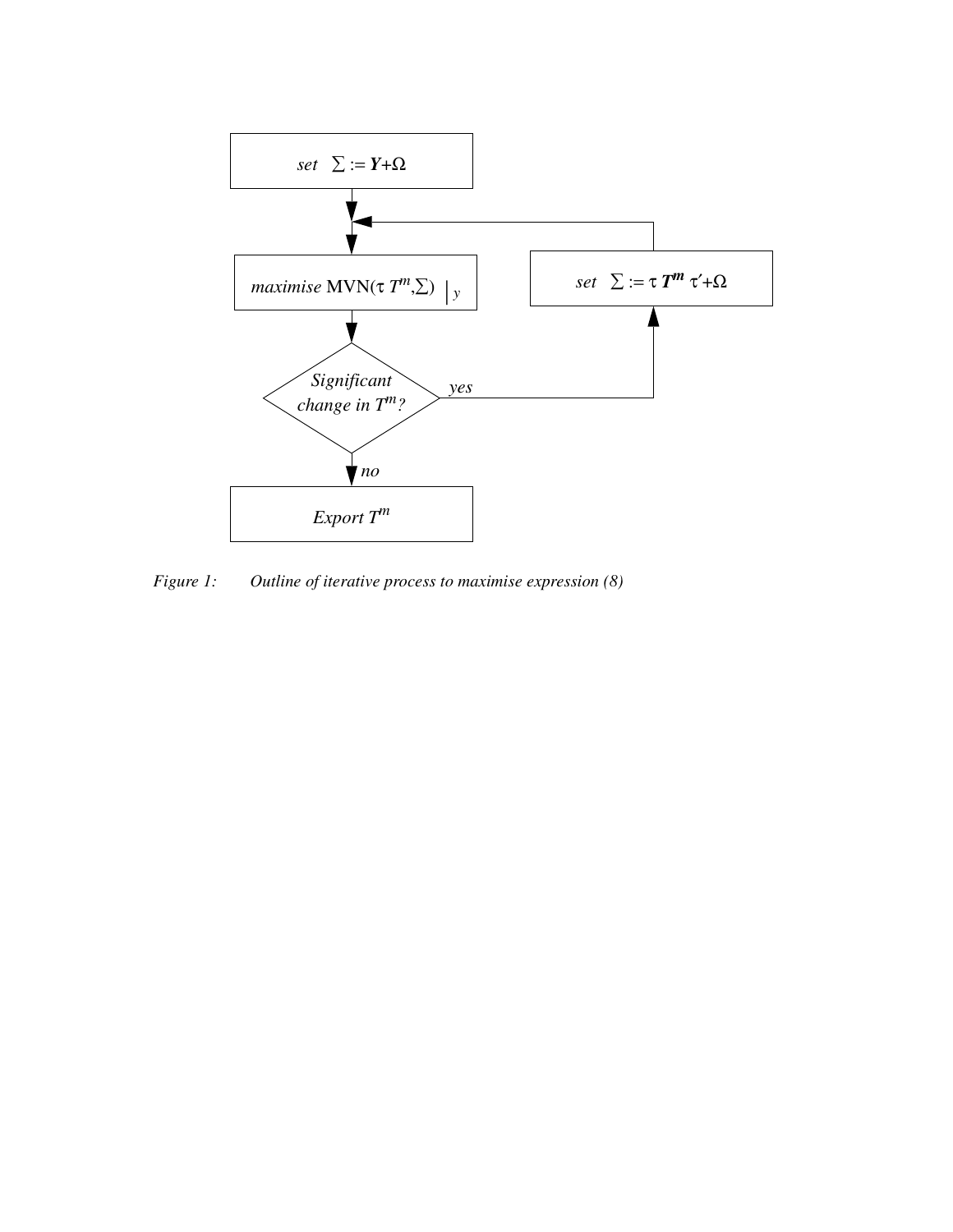

*Figure 1: Outline of iterative process to maximise expression (8)*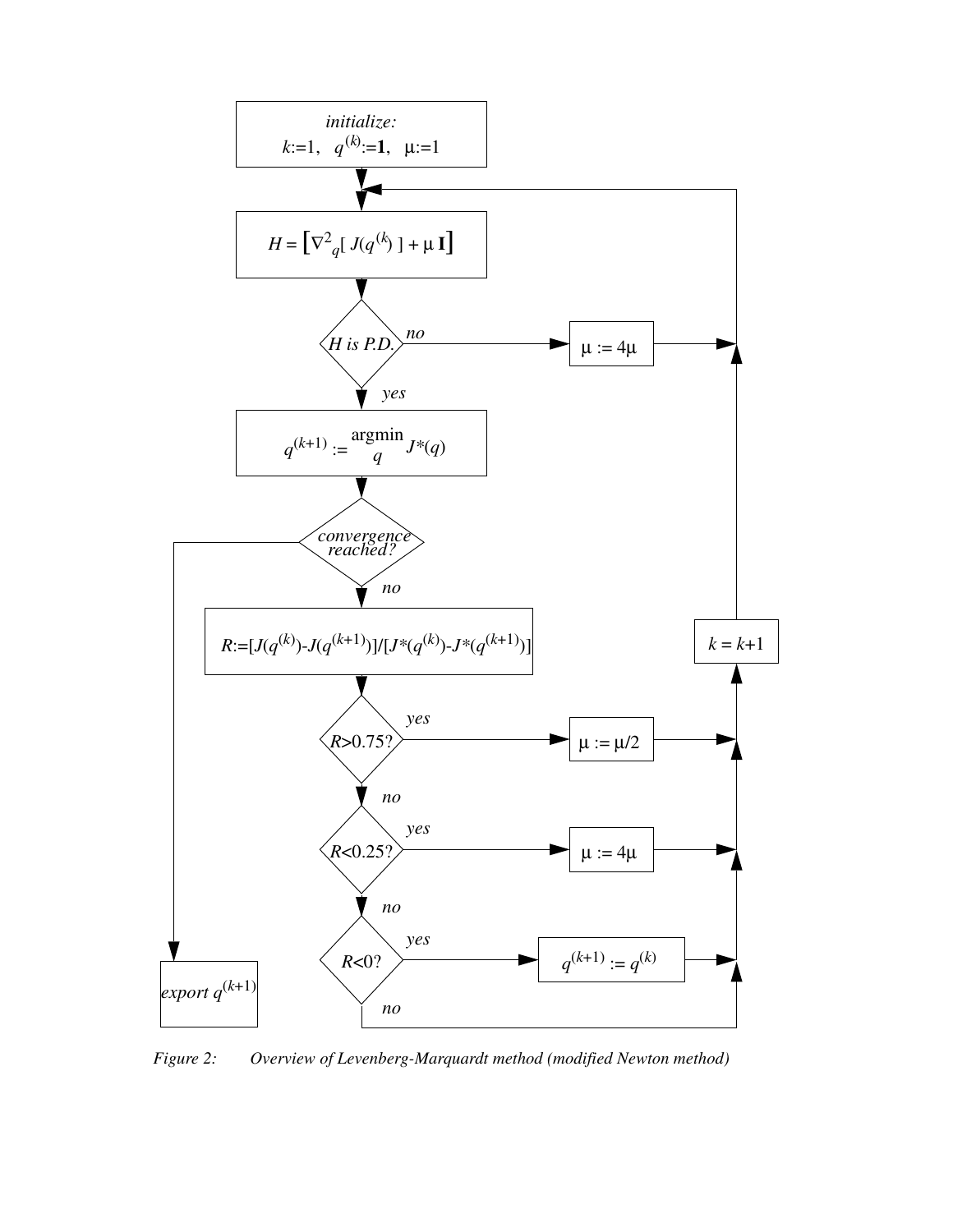

*Figure 2: Overview of Levenberg-Marquardt method (modified Newton method)*